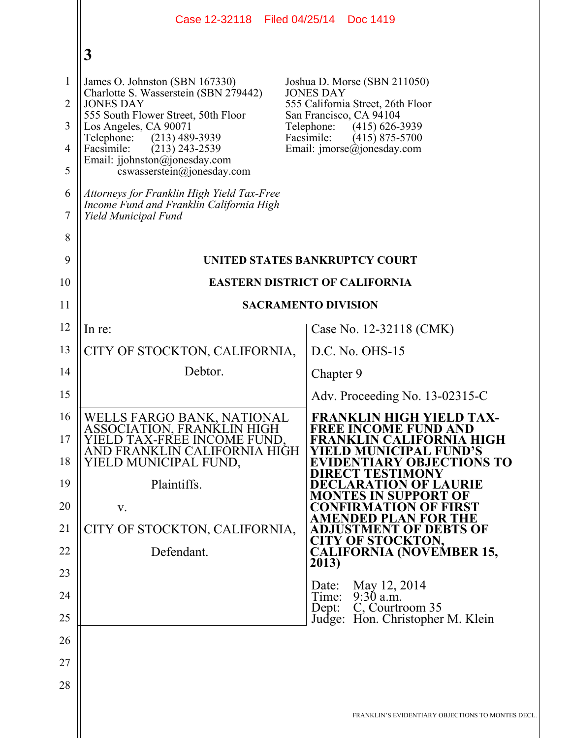|                                | Case 12-32118 Filed 04/25/14 Doc 1419                                                                          |                                                                                       |  |
|--------------------------------|----------------------------------------------------------------------------------------------------------------|---------------------------------------------------------------------------------------|--|
|                                | 3                                                                                                              |                                                                                       |  |
| $\mathbf{1}$<br>$\overline{2}$ | James O. Johnston (SBN 167330)<br>Charlotte S. Wasserstein (SBN 279442)<br><b>JONES DAY</b>                    | Joshua D. Morse (SBN 211050)<br><b>JONES DAY</b><br>555 California Street, 26th Floor |  |
| 3                              | 555 South Flower Street, 50th Floor<br>Los Angeles, CA 90071                                                   | San Francisco, CA 94104<br>Telephone:<br>$(415)$ 626-3939                             |  |
| $\overline{4}$                 | $(213)$ 489-3939<br>Telephone:<br>Facsimile:<br>$(213)$ 243-2539                                               | Facsimile:<br>$(415)$ 875-5700<br>Email: $\text{imorse}(\hat{a})$ jonesday.com        |  |
| 5                              | Email: jjohnston@jonesday.com<br>cswasserstein@jonesday.com                                                    |                                                                                       |  |
| 6<br>7                         | Attorneys for Franklin High Yield Tax-Free<br>Income Fund and Franklin California High<br>Yield Municipal Fund |                                                                                       |  |
| 8                              |                                                                                                                |                                                                                       |  |
| 9                              | UNITED STATES BANKRUPTCY COURT                                                                                 |                                                                                       |  |
| 10                             | <b>EASTERN DISTRICT OF CALIFORNIA</b>                                                                          |                                                                                       |  |
| 11                             |                                                                                                                | <b>SACRAMENTO DIVISION</b>                                                            |  |
| 12                             | In re:                                                                                                         | Case No. 12-32118 (CMK)                                                               |  |
| 13                             | CITY OF STOCKTON, CALIFORNIA,                                                                                  | D.C. No. OHS-15                                                                       |  |
| 14                             | Debtor.                                                                                                        | Chapter 9                                                                             |  |
| 15                             |                                                                                                                | Adv. Proceeding No. 13-02315-C                                                        |  |
| 16                             | WELLS FARGO BANK, NATIONAL<br>ASSOCIATION, FRANKLIN HIGH                                                       | <b>FRANKLIN HIGH YIELD TAX-</b><br><b>FREE INCOME FUND AND</b>                        |  |
| 17<br>18                       | YIELD TAX-FREE INCOME FUND,<br>AND FRANKLIN CALIFORNIA HIGH                                                    | FRANKLIN CALIFORNIA HIGH<br>YIELD MUNICIPAL FUND'S                                    |  |
| 19                             | YIELD MUNICIPAL FUND,<br>Plaintiffs.                                                                           | <b>EVIDENTIARY OBJECTIONS TO</b><br>DIRECT TESTIMONY<br>DECLARATION OF LAURIE         |  |
| 20                             | V.                                                                                                             | MONTES IN SUPPORT OF<br>CONFIRMATION OF FIRST                                         |  |
| 21                             | CITY OF STOCKTON, CALIFORNIA,                                                                                  | AMENDED PLAN FOR THE<br>ADJUSTMENT OF DEBTS OF                                        |  |
| 22                             | Defendant.                                                                                                     | <b>CITY OF STOCKTON,</b><br><b>CALIFORNIA (NOVEMBER 15,</b>                           |  |
| 23                             |                                                                                                                | 2013)                                                                                 |  |
| 24                             |                                                                                                                | May 12, 2014<br>Date:<br>$9:30$ a.m.<br>Time:                                         |  |
| 25                             |                                                                                                                | C, Courtroom 35<br>Dept:<br>Judge: Hon. Christopher M. Klein                          |  |
| 26                             |                                                                                                                |                                                                                       |  |
| 27                             |                                                                                                                |                                                                                       |  |
| 28                             |                                                                                                                |                                                                                       |  |
|                                |                                                                                                                | FRANKLIN'S EVIDENTIARY OBJECTIONS TO MONTES DECL.                                     |  |
|                                |                                                                                                                |                                                                                       |  |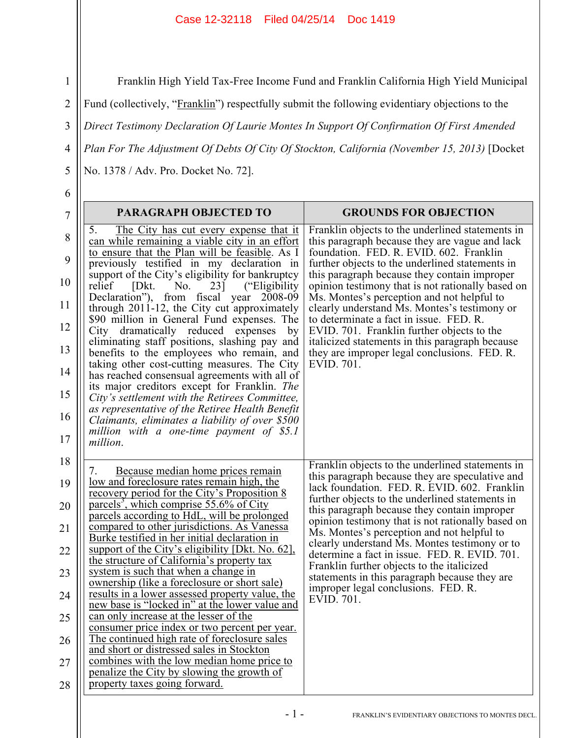Franklin High Yield Tax-Free Income Fund and Franklin California High Yield Municipal

Fund (collectively, "Franklin") respectfully submit the following evidentiary objections to the

3 *Direct Testimony Declaration Of Laurie Montes In Support Of Confirmation Of First Amended* 

4 *Plan For The Adjustment Of Debts Of City Of Stockton, California (November 15, 2013)* [Docket

No. 1378 / Adv. Pro. Docket No. 72].

| ٧<br>I<br>٠<br>٠<br>ı |  |
|-----------------------|--|
| í<br>ź<br>×<br>۰,     |  |

5

1

2

| $\overline{7}$                                                 | <b>PARAGRAPH OBJECTED TO</b>                                                                                                                                                                                                                                                                                                                                                                                                                                                                                                                                                                                                                                                                                                                                                                                                                                                                                                                                    | <b>GROUNDS FOR OBJECTION</b>                                                                                                                                                                                                                                                                                                                                                                                                                                                                                                                                                                                    |
|----------------------------------------------------------------|-----------------------------------------------------------------------------------------------------------------------------------------------------------------------------------------------------------------------------------------------------------------------------------------------------------------------------------------------------------------------------------------------------------------------------------------------------------------------------------------------------------------------------------------------------------------------------------------------------------------------------------------------------------------------------------------------------------------------------------------------------------------------------------------------------------------------------------------------------------------------------------------------------------------------------------------------------------------|-----------------------------------------------------------------------------------------------------------------------------------------------------------------------------------------------------------------------------------------------------------------------------------------------------------------------------------------------------------------------------------------------------------------------------------------------------------------------------------------------------------------------------------------------------------------------------------------------------------------|
| 8<br>9<br>10                                                   | The City has cut every expense that it<br>5.<br>can while remaining a viable city in an effort<br>to ensure that the Plan will be feasible. As I<br>previously testified in my declaration in<br>support of the City's eligibility for bankruptcy<br>relief<br>[Dkt.<br>No.<br>23]<br>("Eligibility")                                                                                                                                                                                                                                                                                                                                                                                                                                                                                                                                                                                                                                                           | Franklin objects to the underlined statements in<br>this paragraph because they are vague and lack<br>foundation. FED. R. EVID. 602. Franklin<br>further objects to the underlined statements in<br>this paragraph because they contain improper<br>opinion testimony that is not rationally based on                                                                                                                                                                                                                                                                                                           |
| 11<br>12                                                       | Declaration"), from fiscal year<br>2008-09<br>through 2011-12, the City cut approximately<br>\$90 million in General Fund expenses. The                                                                                                                                                                                                                                                                                                                                                                                                                                                                                                                                                                                                                                                                                                                                                                                                                         | Ms. Montes's perception and not helpful to<br>clearly understand Ms. Montes's testimony or<br>to determinate a fact in issue. FED. R.                                                                                                                                                                                                                                                                                                                                                                                                                                                                           |
| 13                                                             | City dramatically reduced expenses<br>by<br>eliminating staff positions, slashing pay and<br>benefits to the employees who remain, and                                                                                                                                                                                                                                                                                                                                                                                                                                                                                                                                                                                                                                                                                                                                                                                                                          | EVID. 701. Franklin further objects to the<br>italicized statements in this paragraph because<br>they are improper legal conclusions. FED. R.                                                                                                                                                                                                                                                                                                                                                                                                                                                                   |
| 14                                                             | taking other cost-cutting measures. The City<br>has reached consensual agreements with all of                                                                                                                                                                                                                                                                                                                                                                                                                                                                                                                                                                                                                                                                                                                                                                                                                                                                   | EVID. 701.                                                                                                                                                                                                                                                                                                                                                                                                                                                                                                                                                                                                      |
| 15                                                             | its major creditors except for Franklin. The<br>City's settlement with the Retirees Committee,                                                                                                                                                                                                                                                                                                                                                                                                                                                                                                                                                                                                                                                                                                                                                                                                                                                                  |                                                                                                                                                                                                                                                                                                                                                                                                                                                                                                                                                                                                                 |
| 16<br>17                                                       | as representative of the Retiree Health Benefit<br>Claimants, eliminates a liability of over \$500<br>million with a one-time payment of $$5.1$<br>million.                                                                                                                                                                                                                                                                                                                                                                                                                                                                                                                                                                                                                                                                                                                                                                                                     |                                                                                                                                                                                                                                                                                                                                                                                                                                                                                                                                                                                                                 |
| 18<br>19<br>20<br>21<br>22<br>23<br>24<br>25<br>26<br>27<br>28 | Because median home prices remain<br>7.<br>low and foreclosure rates remain high, the<br>recovery period for the City's Proposition 8<br>parcels <sup>3</sup> , which comprise 55.6% of City<br>parcels according to HdL, will be prolonged<br>compared to other jurisdictions. As Vanessa<br>Burke testified in her initial declaration in<br>support of the City's eligibility [Dkt. No. 62].<br>the structure of California's property tax<br>system is such that when a change in<br>ownership (like a foreclosure or short sale)<br>results in a lower assessed property value, the<br>new base is "locked in" at the lower value and<br>can only increase at the lesser of the<br>consumer price index or two percent per year.<br>The continued high rate of foreclosure sales<br>and short or distressed sales in Stockton<br>combines with the low median home price to<br>penalize the City by slowing the growth of<br>property taxes going forward. | Franklin objects to the underlined statements in<br>this paragraph because they are speculative and<br>lack foundation. FED. R. EVID. 602. Franklin<br>further objects to the underlined statements in<br>this paragraph because they contain improper<br>opinion testimony that is not rationally based on<br>Ms. Montes's perception and not helpful to<br>clearly understand Ms. Montes testimony or to<br>determine a fact in issue. FED. R. EVID. 701.<br>Franklin further objects to the italicized<br>statements in this paragraph because they are<br>improper legal conclusions. FED. R.<br>EVID. 701. |